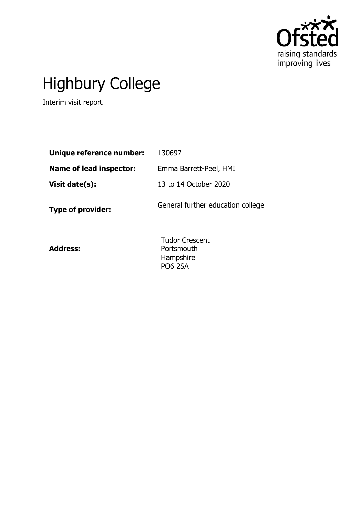

# Highbury College

Interim visit report

| Unique reference number:       | 130697                              |
|--------------------------------|-------------------------------------|
| <b>Name of lead inspector:</b> | Emma Barrett-Peel, HMI              |
| Visit date(s):                 | 13 to 14 October 2020               |
| <b>Type of provider:</b>       | General further education college   |
| <b>Address:</b>                | <b>Tudor Crescent</b><br>Portsmouth |

Portsmouth Hampshire PO6 2SA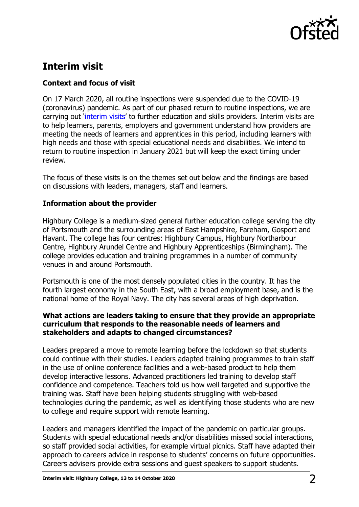

# **Interim visit**

# **Context and focus of visit**

On 17 March 2020, all routine inspections were suspended due to the COVID-19 (coronavirus) pandemic. As part of our phased return to routine inspections, we are carrying out '[interim visits](https://www.gov.uk/guidance/interim-phase-further-education-and-skills-providers#interim-visits)' to further education and skills providers. Interim visits are to help learners, parents, employers and government understand how providers are meeting the needs of learners and apprentices in this period, including learners with high needs and those with special educational needs and disabilities. We intend to return to routine inspection in January 2021 but will keep the exact timing under review.

The focus of these visits is on the themes set out below and the findings are based on discussions with leaders, managers, staff and learners.

## **Information about the provider**

Highbury College is a medium-sized general further education college serving the city of Portsmouth and the surrounding areas of East Hampshire, Fareham, Gosport and Havant. The college has four centres: Highbury Campus, Highbury Northarbour Centre, Highbury Arundel Centre and Highbury Apprenticeships (Birmingham). The college provides education and training programmes in a number of community venues in and around Portsmouth.

Portsmouth is one of the most densely populated cities in the country. It has the fourth largest economy in the South East, with a broad employment base, and is the national home of the Royal Navy. The city has several areas of high deprivation.

### **What actions are leaders taking to ensure that they provide an appropriate curriculum that responds to the reasonable needs of learners and stakeholders and adapts to changed circumstances?**

Leaders prepared a move to remote learning before the lockdown so that students could continue with their studies. Leaders adapted training programmes to train staff in the use of online conference facilities and a web-based product to help them develop interactive lessons. Advanced practitioners led training to develop staff confidence and competence. Teachers told us how well targeted and supportive the training was. Staff have been helping students struggling with web-based technologies during the pandemic, as well as identifying those students who are new to college and require support with remote learning.

Leaders and managers identified the impact of the pandemic on particular groups. Students with special educational needs and/or disabilities missed social interactions, so staff provided social activities, for example virtual picnics. Staff have adapted their approach to careers advice in response to students' concerns on future opportunities. Careers advisers provide extra sessions and guest speakers to support students.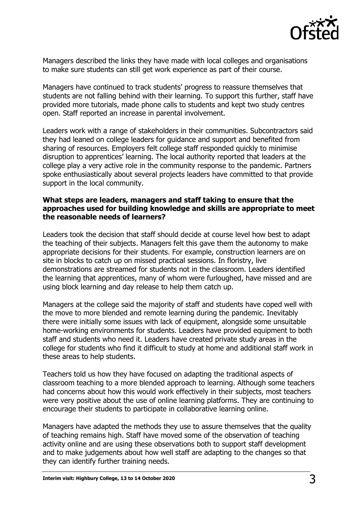

Managers described the links they have made with local colleges and organisations to make sure students can still get work experience as part of their course.

Managers have continued to track students' progress to reassure themselves that students are not falling behind with their learning. To support this further, staff have provided more tutorials, made phone calls to students and kept two study centres open. Staff reported an increase in parental involvement.

Leaders work with a range of stakeholders in their communities. Subcontractors said they had leaned on college leaders for guidance and support and benefited from sharing of resources. Employers felt college staff responded quickly to minimise disruption to apprentices' learning. The local authority reported that leaders at the college play a very active role in the community response to the pandemic. Partners spoke enthusiastically about several projects leaders have committed to that provide support in the local community.

#### **What steps are leaders, managers and staff taking to ensure that the approaches used for building knowledge and skills are appropriate to meet the reasonable needs of learners?**

Leaders took the decision that staff should decide at course level how best to adapt the teaching of their subjects. Managers felt this gave them the autonomy to make appropriate decisions for their students. For example, construction learners are on site in blocks to catch up on missed practical sessions. In floristry, live demonstrations are streamed for students not in the classroom. Leaders identified the learning that apprentices, many of whom were furloughed, have missed and are using block learning and day release to help them catch up.

Managers at the college said the majority of staff and students have coped well with the move to more blended and remote learning during the pandemic. Inevitably there were initially some issues with lack of equipment, alongside some unsuitable home-working environments for students. Leaders have provided equipment to both staff and students who need it. Leaders have created private study areas in the college for students who find it difficult to study at home and additional staff work in these areas to help students.

Teachers told us how they have focused on adapting the traditional aspects of classroom teaching to a more blended approach to learning. Although some teachers had concerns about how this would work effectively in their subjects, most teachers were very positive about the use of online learning platforms. They are continuing to encourage their students to participate in collaborative learning online.

Managers have adapted the methods they use to assure themselves that the quality of teaching remains high. Staff have moved some of the observation of teaching activity online and are using these observations both to support staff development and to make judgements about how well staff are adapting to the changes so that they can identify further training needs.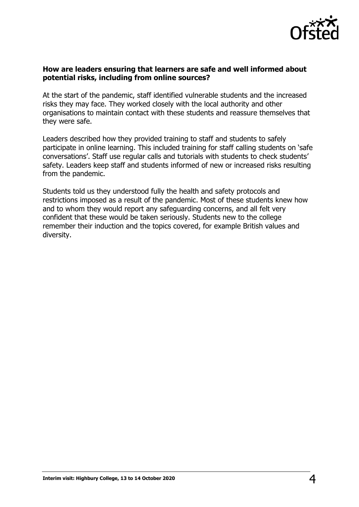

### **How are leaders ensuring that learners are safe and well informed about potential risks, including from online sources?**

At the start of the pandemic, staff identified vulnerable students and the increased risks they may face. They worked closely with the local authority and other organisations to maintain contact with these students and reassure themselves that they were safe.

Leaders described how they provided training to staff and students to safely participate in online learning. This included training for staff calling students on 'safe conversations'. Staff use regular calls and tutorials with students to check students' safety. Leaders keep staff and students informed of new or increased risks resulting from the pandemic.

Students told us they understood fully the health and safety protocols and restrictions imposed as a result of the pandemic. Most of these students knew how and to whom they would report any safeguarding concerns, and all felt very confident that these would be taken seriously. Students new to the college remember their induction and the topics covered, for example British values and diversity.